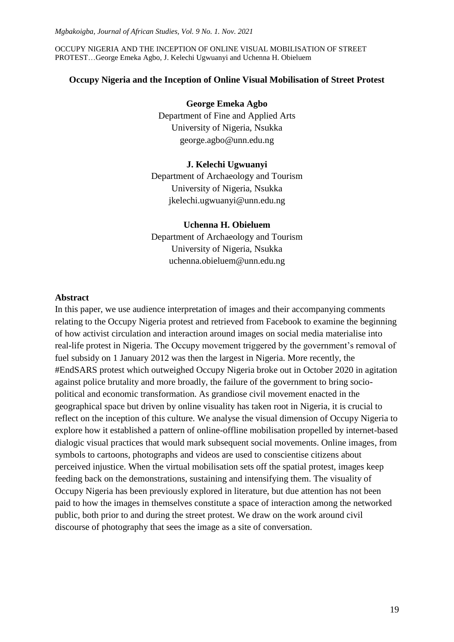OCCUPY NIGERIA AND THE INCEPTION OF ONLINE VISUAL MOBILISATION OF STREET PROTEST…George Emeka Agbo, J. Kelechi Ugwuanyi and Uchenna H. Obieluem

## **Occupy Nigeria and the Inception of Online Visual Mobilisation of Street Protest**

#### **George Emeka Agbo**

Department of Fine and Applied Arts University of Nigeria, Nsukka george.agbo@unn.edu.ng

### **J. Kelechi Ugwuanyi**

Department of Archaeology and Tourism University of Nigeria, Nsukka jkelechi.ugwuanyi@unn.edu.ng

## **Uchenna H. Obieluem**

Department of Archaeology and Tourism University of Nigeria, Nsukka uchenna.obieluem@unn.edu.ng

### **Abstract**

In this paper, we use audience interpretation of images and their accompanying comments relating to the Occupy Nigeria protest and retrieved from Facebook to examine the beginning of how activist circulation and interaction around images on social media materialise into real-life protest in Nigeria. The Occupy movement triggered by the government's removal of fuel subsidy on 1 January 2012 was then the largest in Nigeria. More recently, the #EndSARS protest which outweighed Occupy Nigeria broke out in October 2020 in agitation against police brutality and more broadly, the failure of the government to bring sociopolitical and economic transformation. As grandiose civil movement enacted in the geographical space but driven by online visuality has taken root in Nigeria, it is crucial to reflect on the inception of this culture. We analyse the visual dimension of Occupy Nigeria to explore how it established a pattern of online-offline mobilisation propelled by internet-based dialogic visual practices that would mark subsequent social movements. Online images, from symbols to cartoons, photographs and videos are used to conscientise citizens about perceived injustice. When the virtual mobilisation sets off the spatial protest, images keep feeding back on the demonstrations, sustaining and intensifying them. The visuality of Occupy Nigeria has been previously explored in literature, but due attention has not been paid to how the images in themselves constitute a space of interaction among the networked public, both prior to and during the street protest. We draw on the work around civil discourse of photography that sees the image as a site of conversation.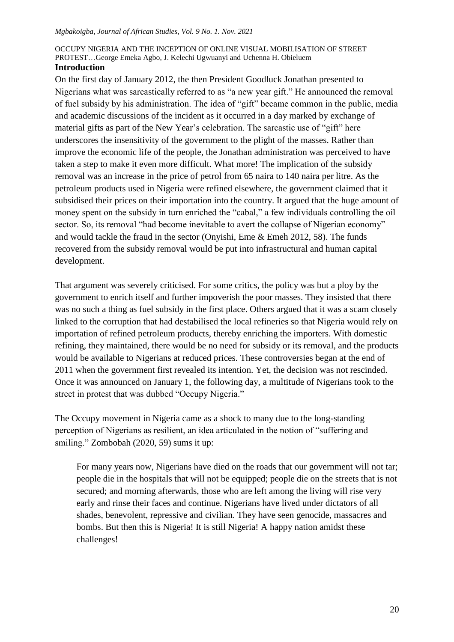#### OCCUPY NIGERIA AND THE INCEPTION OF ONLINE VISUAL MOBILISATION OF STREET PROTEST…George Emeka Agbo, J. Kelechi Ugwuanyi and Uchenna H. Obieluem **Introduction**

On the first day of January 2012, the then President Goodluck Jonathan presented to Nigerians what was sarcastically referred to as "a new year gift." He announced the removal of fuel subsidy by his administration. The idea of "gift" became common in the public, media and academic discussions of the incident as it occurred in a day marked by exchange of material gifts as part of the New Year"s celebration. The sarcastic use of "gift" here underscores the insensitivity of the government to the plight of the masses. Rather than improve the economic life of the people, the Jonathan administration was perceived to have taken a step to make it even more difficult. What more! The implication of the subsidy removal was an increase in the price of petrol from 65 naira to 140 naira per litre. As the petroleum products used in Nigeria were refined elsewhere, the government claimed that it subsidised their prices on their importation into the country. It argued that the huge amount of money spent on the subsidy in turn enriched the "cabal," a few individuals controlling the oil sector. So, its removal "had become inevitable to avert the collapse of Nigerian economy" and would tackle the fraud in the sector (Onyishi, Eme & Emeh 2012, 58). The funds recovered from the subsidy removal would be put into infrastructural and human capital development.

That argument was severely criticised. For some critics, the policy was but a ploy by the government to enrich itself and further impoverish the poor masses. They insisted that there was no such a thing as fuel subsidy in the first place. Others argued that it was a scam closely linked to the corruption that had destabilised the local refineries so that Nigeria would rely on importation of refined petroleum products, thereby enriching the importers. With domestic refining, they maintained, there would be no need for subsidy or its removal, and the products would be available to Nigerians at reduced prices. These controversies began at the end of 2011 when the government first revealed its intention. Yet, the decision was not rescinded. Once it was announced on January 1, the following day, a multitude of Nigerians took to the street in protest that was dubbed "Occupy Nigeria."

The Occupy movement in Nigeria came as a shock to many due to the long-standing perception of Nigerians as resilient, an idea articulated in the notion of "suffering and smiling." Zombobah (2020, 59) sums it up:

For many years now, Nigerians have died on the roads that our government will not tar; people die in the hospitals that will not be equipped; people die on the streets that is not secured; and morning afterwards, those who are left among the living will rise very early and rinse their faces and continue. Nigerians have lived under dictators of all shades, benevolent, repressive and civilian. They have seen genocide, massacres and bombs. But then this is Nigeria! It is still Nigeria! A happy nation amidst these challenges!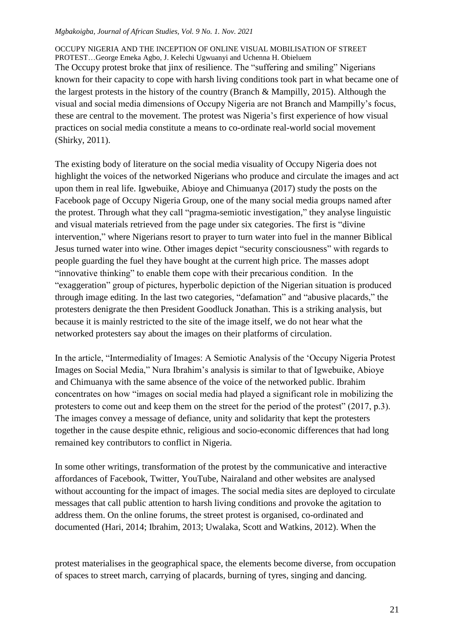OCCUPY NIGERIA AND THE INCEPTION OF ONLINE VISUAL MOBILISATION OF STREET PROTEST…George Emeka Agbo, J. Kelechi Ugwuanyi and Uchenna H. Obieluem The Occupy protest broke that jinx of resilience. The "suffering and smiling" Nigerians known for their capacity to cope with harsh living conditions took part in what became one of the largest protests in the history of the country (Branch & Mampilly, 2015). Although the visual and social media dimensions of Occupy Nigeria are not Branch and Mampilly"s focus, these are central to the movement. The protest was Nigeria's first experience of how visual practices on social media constitute a means to co-ordinate real-world social movement (Shirky, 2011).

The existing body of literature on the social media visuality of Occupy Nigeria does not highlight the voices of the networked Nigerians who produce and circulate the images and act upon them in real life. Igwebuike, Abioye and Chimuanya (2017) study the posts on the Facebook page of Occupy Nigeria Group, one of the many social media groups named after the protest. Through what they call "pragma-semiotic investigation," they analyse linguistic and visual materials retrieved from the page under six categories. The first is "divine intervention," where Nigerians resort to prayer to turn water into fuel in the manner Biblical Jesus turned water into wine. Other images depict "security consciousness" with regards to people guarding the fuel they have bought at the current high price. The masses adopt "innovative thinking" to enable them cope with their precarious condition. In the "exaggeration" group of pictures, hyperbolic depiction of the Nigerian situation is produced through image editing. In the last two categories, "defamation" and "abusive placards," the protesters denigrate the then President Goodluck Jonathan. This is a striking analysis, but because it is mainly restricted to the site of the image itself, we do not hear what the networked protesters say about the images on their platforms of circulation.

In the article, "Intermediality of Images: A Semiotic Analysis of the "Occupy Nigeria Protest Images on Social Media," Nura Ibrahim"s analysis is similar to that of Igwebuike, Abioye and Chimuanya with the same absence of the voice of the networked public. Ibrahim concentrates on how "images on social media had played a significant role in mobilizing the protesters to come out and keep them on the street for the period of the protest" (2017, p.3). The images convey a message of defiance, unity and solidarity that kept the protesters together in the cause despite ethnic, religious and socio-economic differences that had long remained key contributors to conflict in Nigeria.

In some other writings, transformation of the protest by the communicative and interactive affordances of Facebook, Twitter, YouTube, Nairaland and other websites are analysed without accounting for the impact of images. The social media sites are deployed to circulate messages that call public attention to harsh living conditions and provoke the agitation to address them. On the online forums, the street protest is organised, co-ordinated and documented (Hari, 2014; Ibrahim, 2013; Uwalaka, Scott and Watkins, 2012). When the

protest materialises in the geographical space, the elements become diverse, from occupation of spaces to street march, carrying of placards, burning of tyres, singing and dancing.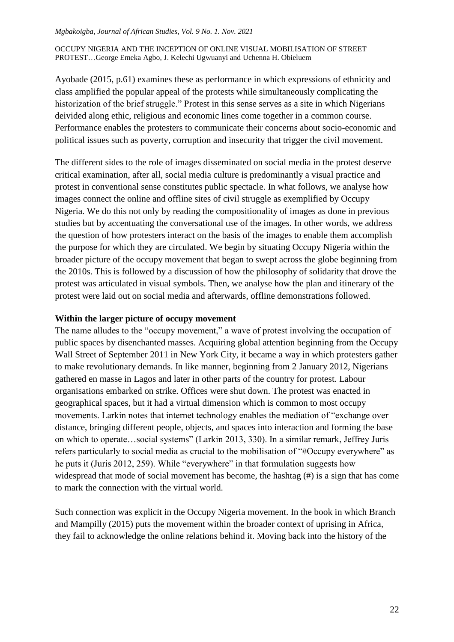### OCCUPY NIGERIA AND THE INCEPTION OF ONLINE VISUAL MOBILISATION OF STREET PROTEST…George Emeka Agbo, J. Kelechi Ugwuanyi and Uchenna H. Obieluem

Ayobade (2015, p.61) examines these as performance in which expressions of ethnicity and class amplified the popular appeal of the protests while simultaneously complicating the historization of the brief struggle." Protest in this sense serves as a site in which Nigerians deivided along ethic, religious and economic lines come together in a common course. Performance enables the protesters to communicate their concerns about socio-economic and political issues such as poverty, corruption and insecurity that trigger the civil movement.

The different sides to the role of images disseminated on social media in the protest deserve critical examination, after all, social media culture is predominantly a visual practice and protest in conventional sense constitutes public spectacle. In what follows, we analyse how images connect the online and offline sites of civil struggle as exemplified by Occupy Nigeria. We do this not only by reading the compositionality of images as done in previous studies but by accentuating the conversational use of the images. In other words, we address the question of how protesters interact on the basis of the images to enable them accomplish the purpose for which they are circulated. We begin by situating Occupy Nigeria within the broader picture of the occupy movement that began to swept across the globe beginning from the 2010s. This is followed by a discussion of how the philosophy of solidarity that drove the protest was articulated in visual symbols. Then, we analyse how the plan and itinerary of the protest were laid out on social media and afterwards, offline demonstrations followed.

## **Within the larger picture of occupy movement**

The name alludes to the "occupy movement," a wave of protest involving the occupation of public spaces by disenchanted masses. Acquiring global attention beginning from the Occupy Wall Street of September 2011 in New York City, it became a way in which protesters gather to make revolutionary demands. In like manner, beginning from 2 January 2012, Nigerians gathered en masse in Lagos and later in other parts of the country for protest. Labour organisations embarked on strike. Offices were shut down. The protest was enacted in geographical spaces, but it had a virtual dimension which is common to most occupy movements. Larkin notes that internet technology enables the mediation of "exchange over distance, bringing different people, objects, and spaces into interaction and forming the base on which to operate…social systems" (Larkin 2013, 330). In a similar remark, Jeffrey Juris refers particularly to social media as crucial to the mobilisation of "#Occupy everywhere" as he puts it (Juris 2012, 259). While "everywhere" in that formulation suggests how widespread that mode of social movement has become, the hashtag (#) is a sign that has come to mark the connection with the virtual world.

Such connection was explicit in the Occupy Nigeria movement. In the book in which Branch and Mampilly (2015) puts the movement within the broader context of uprising in Africa, they fail to acknowledge the online relations behind it. Moving back into the history of the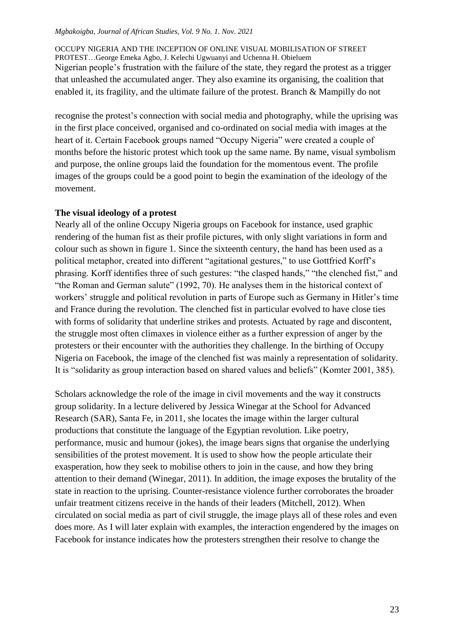OCCUPY NIGERIA AND THE INCEPTION OF ONLINE VISUAL MOBILISATION OF STREET PROTEST…George Emeka Agbo, J. Kelechi Ugwuanyi and Uchenna H. Obieluem Nigerian people"s frustration with the failure of the state, they regard the protest as a trigger that unleashed the accumulated anger. They also examine its organising, the coalition that enabled it, its fragility, and the ultimate failure of the protest. Branch & Mampilly do not

recognise the protest"s connection with social media and photography, while the uprising was in the first place conceived, organised and co-ordinated on social media with images at the heart of it. Certain Facebook groups named "Occupy Nigeria" were created a couple of months before the historic protest which took up the same name. By name, visual symbolism and purpose, the online groups laid the foundation for the momentous event. The profile images of the groups could be a good point to begin the examination of the ideology of the movement.

# **The visual ideology of a protest**

Nearly all of the online Occupy Nigeria groups on Facebook for instance, used graphic rendering of the human fist as their profile pictures, with only slight variations in form and colour such as shown in figure 1. Since the sixteenth century, the hand has been used as a political metaphor, created into different "agitational gestures," to use Gottfried Korff"s phrasing. Korff identifies three of such gestures: "the clasped hands," "the clenched fist," and "the Roman and German salute" (1992, 70). He analyses them in the historical context of workers' struggle and political revolution in parts of Europe such as Germany in Hitler's time and France during the revolution. The clenched fist in particular evolved to have close ties with forms of solidarity that underline strikes and protests. Actuated by rage and discontent, the struggle most often climaxes in violence either as a further expression of anger by the protesters or their encounter with the authorities they challenge. In the birthing of Occupy Nigeria on Facebook, the image of the clenched fist was mainly a representation of solidarity. It is "solidarity as group interaction based on shared values and beliefs" (Komter 2001, 385).

Scholars acknowledge the role of the image in civil movements and the way it constructs group solidarity. In a lecture delivered by Jessica Winegar at the School for Advanced Research (SAR), Santa Fe, in 2011, she locates the image within the larger cultural productions that constitute the language of the Egyptian revolution. Like poetry, performance, music and humour (jokes), the image bears signs that organise the underlying sensibilities of the protest movement. It is used to show how the people articulate their exasperation, how they seek to mobilise others to join in the cause, and how they bring attention to their demand (Winegar, 2011). In addition, the image exposes the brutality of the state in reaction to the uprising. Counter-resistance violence further corroborates the broader unfair treatment citizens receive in the hands of their leaders (Mitchell, 2012). When circulated on social media as part of civil struggle, the image plays all of these roles and even does more. As I will later explain with examples, the interaction engendered by the images on Facebook for instance indicates how the protesters strengthen their resolve to change the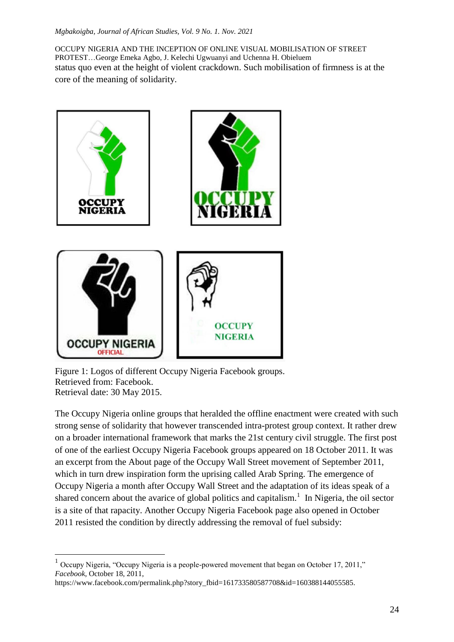OCCUPY NIGERIA AND THE INCEPTION OF ONLINE VISUAL MOBILISATION OF STREET PROTEST…George Emeka Agbo, J. Kelechi Ugwuanyi and Uchenna H. Obieluem status quo even at the height of violent crackdown. Such mobilisation of firmness is at the core of the meaning of solidarity.



Figure 1: Logos of different Occupy Nigeria Facebook groups. Retrieved from: Facebook. Retrieval date: 30 May 2015.

 $\overline{a}$ 

The Occupy Nigeria online groups that heralded the offline enactment were created with such strong sense of solidarity that however transcended intra-protest group context. It rather drew on a broader international framework that marks the 21st century civil struggle. The first post of one of the earliest Occupy Nigeria Facebook groups appeared on 18 October 2011. It was an excerpt from the About page of the Occupy Wall Street movement of September 2011, which in turn drew inspiration form the uprising called Arab Spring. The emergence of Occupy Nigeria a month after Occupy Wall Street and the adaptation of its ideas speak of a shared concern about the avarice of global politics and capitalism.<sup>1</sup> In Nigeria, the oil sector is a site of that rapacity. Another Occupy Nigeria Facebook page also opened in October 2011 resisted the condition by directly addressing the removal of fuel subsidy:

 $<sup>1</sup>$  Occupy Nigeria, "Occupy Nigeria is a people-powered movement that began on October 17, 2011,"</sup> *Facebook*, October 18, 2011,

https://www.facebook.com/permalink.php?story\_fbid=161733580587708&id=160388144055585.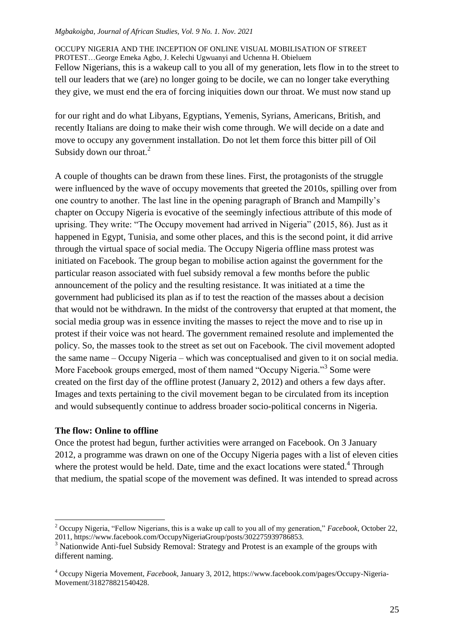OCCUPY NIGERIA AND THE INCEPTION OF ONLINE VISUAL MOBILISATION OF STREET PROTEST…George Emeka Agbo, J. Kelechi Ugwuanyi and Uchenna H. Obieluem Fellow Nigerians, this is a wakeup call to you all of my generation, lets flow in to the street to tell our leaders that we (are) no longer going to be docile, we can no longer take everything they give, we must end the era of forcing iniquities down our throat. We must now stand up

for our right and do what Libyans, Egyptians, Yemenis, Syrians, Americans, British, and recently Italians are doing to make their wish come through. We will decide on a date and move to occupy any government installation. Do not let them force this bitter pill of Oil Subsidy down our throat. $^{2}$ 

A couple of thoughts can be drawn from these lines. First, the protagonists of the struggle were influenced by the wave of occupy movements that greeted the 2010s, spilling over from one country to another. The last line in the opening paragraph of Branch and Mampilly"s chapter on Occupy Nigeria is evocative of the seemingly infectious attribute of this mode of uprising. They write: "The Occupy movement had arrived in Nigeria" (2015, 86). Just as it happened in Egypt, Tunisia, and some other places, and this is the second point, it did arrive through the virtual space of social media. The Occupy Nigeria offline mass protest was initiated on Facebook. The group began to mobilise action against the government for the particular reason associated with fuel subsidy removal a few months before the public announcement of the policy and the resulting resistance. It was initiated at a time the government had publicised its plan as if to test the reaction of the masses about a decision that would not be withdrawn. In the midst of the controversy that erupted at that moment, the social media group was in essence inviting the masses to reject the move and to rise up in protest if their voice was not heard. The government remained resolute and implemented the policy. So, the masses took to the street as set out on Facebook. The civil movement adopted the same name – Occupy Nigeria – which was conceptualised and given to it on social media. More Facebook groups emerged, most of them named "Occupy Nigeria."<sup>3</sup> Some were created on the first day of the offline protest (January 2, 2012) and others a few days after. Images and texts pertaining to the civil movement began to be circulated from its inception and would subsequently continue to address broader socio-political concerns in Nigeria.

# **The flow: Online to offline**

 $\overline{a}$ 

Once the protest had begun, further activities were arranged on Facebook. On 3 January 2012, a programme was drawn on one of the Occupy Nigeria pages with a list of eleven cities where the protest would be held. Date, time and the exact locations were stated. $4$  Through that medium, the spatial scope of the movement was defined. It was intended to spread across

<sup>2</sup> Occupy Nigeria, "Fellow Nigerians, this is a wake up call to you all of my generation," *Facebook*, October 22, 2011, https://www.facebook.com/OccupyNigeriaGroup/posts/302275939786853.

<sup>&</sup>lt;sup>3</sup> Nationwide Anti-fuel Subsidy Removal: Strategy and Protest is an example of the groups with different naming.

<sup>4</sup> Occupy Nigeria Movement, *Facebook*, January 3, 2012, https://www.facebook.com/pages/Occupy-Nigeria-Movement/318278821540428.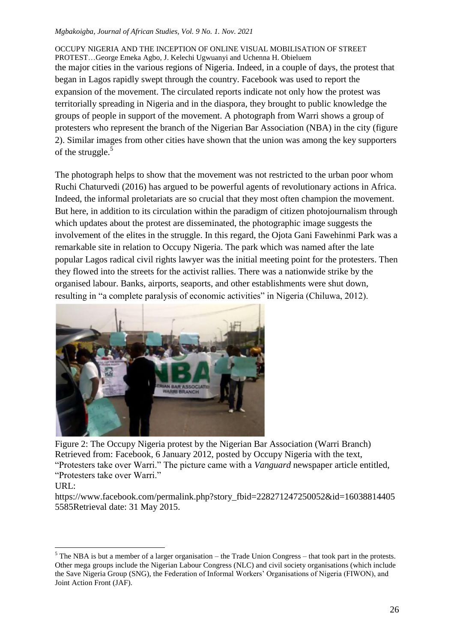OCCUPY NIGERIA AND THE INCEPTION OF ONLINE VISUAL MOBILISATION OF STREET PROTEST…George Emeka Agbo, J. Kelechi Ugwuanyi and Uchenna H. Obieluem the major cities in the various regions of Nigeria. Indeed, in a couple of days, the protest that began in Lagos rapidly swept through the country. Facebook was used to report the expansion of the movement. The circulated reports indicate not only how the protest was territorially spreading in Nigeria and in the diaspora, they brought to public knowledge the groups of people in support of the movement. A photograph from Warri shows a group of protesters who represent the branch of the Nigerian Bar Association (NBA) in the city (figure 2). Similar images from other cities have shown that the union was among the key supporters of the struggle.<sup>5</sup>

The photograph helps to show that the movement was not restricted to the urban poor whom Ruchi Chaturvedi (2016) has argued to be powerful agents of revolutionary actions in Africa. Indeed, the informal proletariats are so crucial that they most often champion the movement. But here, in addition to its circulation within the paradigm of citizen photojournalism through which updates about the protest are disseminated, the photographic image suggests the involvement of the elites in the struggle. In this regard, the Ojota Gani Fawehinmi Park was a remarkable site in relation to Occupy Nigeria. The park which was named after the late popular Lagos radical civil rights lawyer was the initial meeting point for the protesters. Then they flowed into the streets for the activist rallies. There was a nationwide strike by the organised labour. Banks, airports, seaports, and other establishments were shut down, resulting in "a complete paralysis of economic activities" in Nigeria (Chiluwa, 2012).



Figure 2: The Occupy Nigeria protest by the Nigerian Bar Association (Warri Branch) Retrieved from: Facebook, 6 January 2012, posted by Occupy Nigeria with the text, "Protesters take over Warri." The picture came with a *Vanguard* newspaper article entitled, "Protesters take over Warri."

URL:

 $\overline{a}$ 

https://www.facebook.com/permalink.php?story\_fbid=228271247250052&id=16038814405 5585Retrieval date: 31 May 2015.

 $<sup>5</sup>$  The NBA is but a member of a larger organisation – the Trade Union Congress – that took part in the protests.</sup> Other mega groups include the Nigerian Labour Congress (NLC) and civil society organisations (which include the Save Nigeria Group (SNG), the Federation of Informal Workers" Organisations of Nigeria (FIWON), and Joint Action Front (JAF).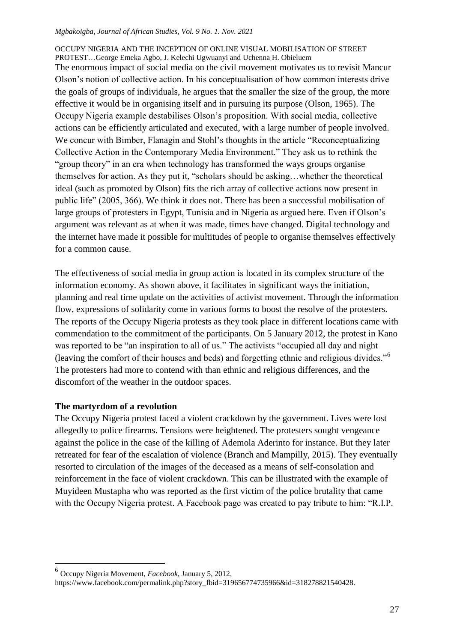### OCCUPY NIGERIA AND THE INCEPTION OF ONLINE VISUAL MOBILISATION OF STREET PROTEST…George Emeka Agbo, J. Kelechi Ugwuanyi and Uchenna H. Obieluem

The enormous impact of social media on the civil movement motivates us to revisit Mancur Olson"s notion of collective action. In his conceptualisation of how common interests drive the goals of groups of individuals, he argues that the smaller the size of the group, the more effective it would be in organising itself and in pursuing its purpose (Olson, 1965). The Occupy Nigeria example destabilises Olson"s proposition. With social media, collective actions can be efficiently articulated and executed, with a large number of people involved. We concur with Bimber, Flanagin and Stohl's thoughts in the article "Reconceptualizing" Collective Action in the Contemporary Media Environment." They ask us to rethink the "group theory" in an era when technology has transformed the ways groups organise themselves for action. As they put it, "scholars should be asking…whether the theoretical ideal (such as promoted by Olson) fits the rich array of collective actions now present in public life" (2005, 366). We think it does not. There has been a successful mobilisation of large groups of protesters in Egypt, Tunisia and in Nigeria as argued here. Even if Olson's argument was relevant as at when it was made, times have changed. Digital technology and the internet have made it possible for multitudes of people to organise themselves effectively for a common cause.

The effectiveness of social media in group action is located in its complex structure of the information economy. As shown above, it facilitates in significant ways the initiation, planning and real time update on the activities of activist movement. Through the information flow, expressions of solidarity come in various forms to boost the resolve of the protesters. The reports of the Occupy Nigeria protests as they took place in different locations came with commendation to the commitment of the participants. On 5 January 2012, the protest in Kano was reported to be "an inspiration to all of us." The activists "occupied all day and night (leaving the comfort of their houses and beds) and forgetting ethnic and religious divides."<sup>6</sup> The protesters had more to contend with than ethnic and religious differences, and the discomfort of the weather in the outdoor spaces.

# **The martyrdom of a revolution**

 $\overline{a}$ 

The Occupy Nigeria protest faced a violent crackdown by the government. Lives were lost allegedly to police firearms. Tensions were heightened. The protesters sought vengeance against the police in the case of the killing of Ademola Aderinto for instance. But they later retreated for fear of the escalation of violence (Branch and Mampilly, 2015). They eventually resorted to circulation of the images of the deceased as a means of self-consolation and reinforcement in the face of violent crackdown. This can be illustrated with the example of Muyideen Mustapha who was reported as the first victim of the police brutality that came with the Occupy Nigeria protest. A Facebook page was created to pay tribute to him: "R.I.P.

<sup>6</sup> Occupy Nigeria Movement, *Facebook*, January 5, 2012, https://www.facebook.com/permalink.php?story\_fbid=319656774735966&id=318278821540428.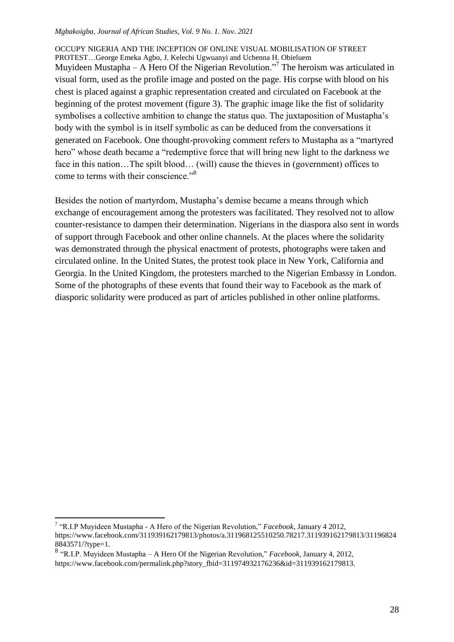OCCUPY NIGERIA AND THE INCEPTION OF ONLINE VISUAL MOBILISATION OF STREET PROTEST…George Emeka Agbo, J. Kelechi Ugwuanyi and Uchenna H. Obieluem Muyideen Mustapha – A Hero Of the Nigerian Revolution."<sup>7</sup> The heroism was articulated in visual form, used as the profile image and posted on the page. His corpse with blood on his chest is placed against a graphic representation created and circulated on Facebook at the beginning of the protest movement (figure 3). The graphic image like the fist of solidarity symbolises a collective ambition to change the status quo. The juxtaposition of Mustapha's body with the symbol is in itself symbolic as can be deduced from the conversations it generated on Facebook. One thought-provoking comment refers to Mustapha as a "martyred hero" whose death became a "redemptive force that will bring new light to the darkness we face in this nation…The spilt blood… (will) cause the thieves in (government) offices to come to terms with their conscience."<sup>8</sup>

Besides the notion of martyrdom, Mustapha"s demise became a means through which exchange of encouragement among the protesters was facilitated. They resolved not to allow counter-resistance to dampen their determination. Nigerians in the diaspora also sent in words of support through Facebook and other online channels. At the places where the solidarity was demonstrated through the physical enactment of protests, photographs were taken and circulated online. In the United States, the protest took place in New York, California and Georgia. In the United Kingdom, the protesters marched to the Nigerian Embassy in London. Some of the photographs of these events that found their way to Facebook as the mark of diasporic solidarity were produced as part of articles published in other online platforms.

 $\overline{a}$ 

<sup>7</sup> "R.I.P Muyideen Mustapha - A Hero of the Nigerian Revolution," *Facebook*, January 4 2012, https://www.facebook.com/311939162179813/photos/a.311968125510250.78217.311939162179813/31196824 8843571/?type=1.

<sup>8</sup> "R.I.P. Muyideen Mustapha – A Hero Of the Nigerian Revolution," *Facebook*, January 4, 2012, https://www.facebook.com/permalink.php?story\_fbid=311974932176236&id=311939162179813.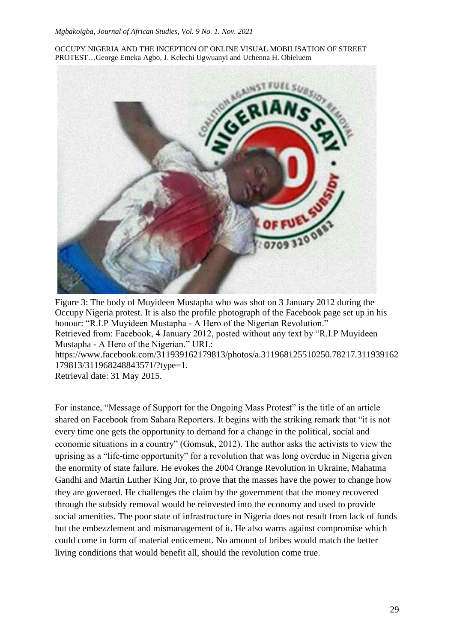OCCUPY NIGERIA AND THE INCEPTION OF ONLINE VISUAL MOBILISATION OF STREET PROTEST…George Emeka Agbo, J. Kelechi Ugwuanyi and Uchenna H. Obieluem



Figure 3: The body of Muyideen Mustapha who was shot on 3 January 2012 during the Occupy Nigeria protest. It is also the profile photograph of the Facebook page set up in his honour: "R.I.P Muyideen Mustapha - A Hero of the Nigerian Revolution." Retrieved from: Facebook, 4 January 2012, posted without any text by "R.I.P Muyideen Mustapha - A Hero of the Nigerian." URL: https://www.facebook.com/311939162179813/photos/a.311968125510250.78217.311939162 179813/311968248843571/?type=1. Retrieval date: 31 May 2015.

For instance, "Message of Support for the Ongoing Mass Protest" is the title of an article shared on Facebook from Sahara Reporters. It begins with the striking remark that "it is not every time one gets the opportunity to demand for a change in the political, social and economic situations in a country" (Gomsuk, 2012). The author asks the activists to view the uprising as a "life-time opportunity" for a revolution that was long overdue in Nigeria given the enormity of state failure. He evokes the 2004 Orange Revolution in Ukraine, Mahatma Gandhi and Martin Luther King Jnr, to prove that the masses have the power to change how they are governed. He challenges the claim by the government that the money recovered through the subsidy removal would be reinvested into the economy and used to provide social amenities. The poor state of infrastructure in Nigeria does not result from lack of funds but the embezzlement and mismanagement of it. He also warns against compromise which could come in form of material enticement. No amount of bribes would match the better living conditions that would benefit all, should the revolution come true.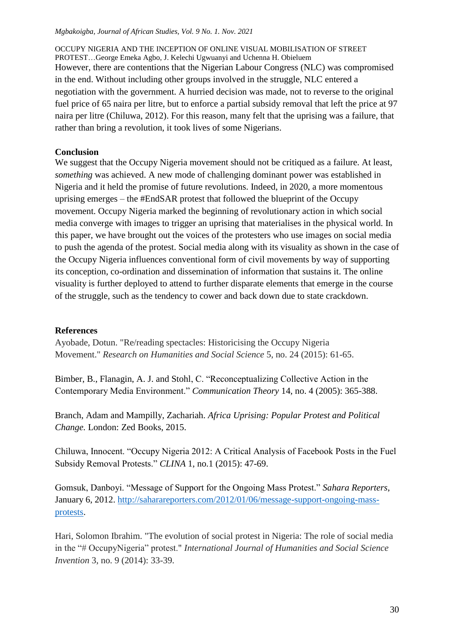OCCUPY NIGERIA AND THE INCEPTION OF ONLINE VISUAL MOBILISATION OF STREET PROTEST…George Emeka Agbo, J. Kelechi Ugwuanyi and Uchenna H. Obieluem However, there are contentions that the Nigerian Labour Congress (NLC) was compromised in the end. Without including other groups involved in the struggle, NLC entered a negotiation with the government. A hurried decision was made, not to reverse to the original fuel price of 65 naira per litre, but to enforce a partial subsidy removal that left the price at 97 naira per litre (Chiluwa, 2012). For this reason, many felt that the uprising was a failure, that rather than bring a revolution, it took lives of some Nigerians.

# **Conclusion**

We suggest that the Occupy Nigeria movement should not be critiqued as a failure. At least, *something* was achieved. A new mode of challenging dominant power was established in Nigeria and it held the promise of future revolutions. Indeed, in 2020, a more momentous uprising emerges – the #EndSAR protest that followed the blueprint of the Occupy movement. Occupy Nigeria marked the beginning of revolutionary action in which social media converge with images to trigger an uprising that materialises in the physical world. In this paper, we have brought out the voices of the protesters who use images on social media to push the agenda of the protest. Social media along with its visuality as shown in the case of the Occupy Nigeria influences conventional form of civil movements by way of supporting its conception, co-ordination and dissemination of information that sustains it. The online visuality is further deployed to attend to further disparate elements that emerge in the course of the struggle, such as the tendency to cower and back down due to state crackdown.

# **References**

Ayobade, Dotun. "Re/reading spectacles: Historicising the Occupy Nigeria Movement." *Research on Humanities and Social Science* 5, no. 24 (2015): 61-65.

Bimber, B., Flanagin, A. J. and Stohl, C. "Reconceptualizing Collective Action in the Contemporary Media Environment." *Communication Theory* 14, no. 4 (2005): 365-388.

Branch, Adam and Mampilly, Zachariah. *Africa Uprising: Popular Protest and Political Change.* London: Zed Books, 2015.

Chiluwa, Innocent. "Occupy Nigeria 2012: A Critical Analysis of Facebook Posts in the Fuel Subsidy Removal Protests." *CLINA* 1, no.1 (2015): 47-69.

Gomsuk, Danboyi. "Message of Support for the Ongoing Mass Protest." *Sahara Reporters*, January 6, 2012. [http://saharareporters.com/2012/01/06/message-support-ongoing-mass](http://saharareporters.com/2012/01/06/message-support-ongoing-mass-protests)[protests.](http://saharareporters.com/2012/01/06/message-support-ongoing-mass-protests)

Hari, Solomon Ibrahim. "The evolution of social protest in Nigeria: The role of social media in the "# OccupyNigeria" protest." *International Journal of Humanities and Social Science Invention* 3, no. 9 (2014): 33-39.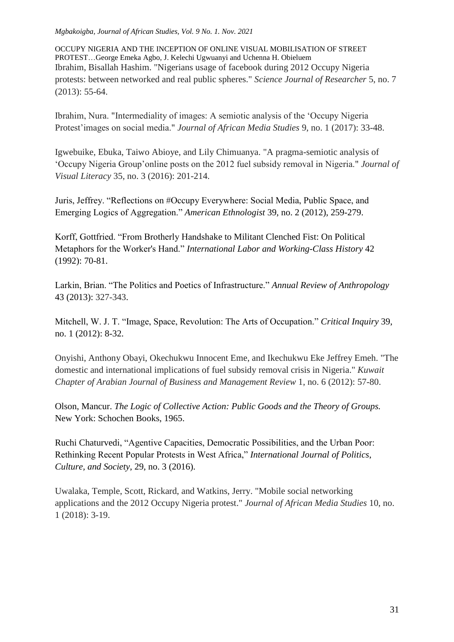OCCUPY NIGERIA AND THE INCEPTION OF ONLINE VISUAL MOBILISATION OF STREET PROTEST…George Emeka Agbo, J. Kelechi Ugwuanyi and Uchenna H. Obieluem Ibrahim, Bisallah Hashim. "Nigerians usage of facebook during 2012 Occupy Nigeria protests: between networked and real public spheres." *Science Journal of Researcher* 5, no. 7 (2013): 55-64.

Ibrahim, Nura. "Intermediality of images: A semiotic analysis of the "Occupy Nigeria Protest"images on social media." *Journal of African Media Studies* 9, no. 1 (2017): 33-48.

Igwebuike, Ebuka, Taiwo Abioye, and Lily Chimuanya. "A pragma-semiotic analysis of "Occupy Nigeria Group"online posts on the 2012 fuel subsidy removal in Nigeria." *Journal of Visual Literacy* 35, no. 3 (2016): 201-214.

Juris, Jeffrey. "Reflections on #Occupy Everywhere: Social Media, Public Space, and Emerging Logics of Aggregation." *American Ethnologist* 39, no. 2 (2012), 259-279.

Korff, Gottfried. "From Brotherly Handshake to Militant Clenched Fist: On Political Metaphors for the Worker's Hand." *International Labor and Working-Class History* 42 (1992): 70-81.

Larkin, Brian. "The Politics and Poetics of Infrastructure." *Annual Review of Anthropology*  43 (2013): 327-343.

Mitchell, W. J. T. "Image, Space, Revolution: The Arts of Occupation." *Critical Inquiry* 39, no. 1 (2012): 8-32.

Onyishi, Anthony Obayi, Okechukwu Innocent Eme, and Ikechukwu Eke Jeffrey Emeh. "The domestic and international implications of fuel subsidy removal crisis in Nigeria." *Kuwait Chapter of Arabian Journal of Business and Management Review* 1, no. 6 (2012): 57-80.

Olson, Mancur. *The Logic of Collective Action: Public Goods and the Theory of Groups.*  New York: Schochen Books, 1965.

Ruchi Chaturvedi, "Agentive Capacities, Democratic Possibilities, and the Urban Poor: Rethinking Recent Popular Protests in West Africa," *International Journal of Politics*, *Culture, and Society*, 29, no. 3 (2016).

Uwalaka, Temple, Scott, Rickard, and Watkins, Jerry. "Mobile social networking applications and the 2012 Occupy Nigeria protest." *Journal of African Media Studies* 10, no. 1 (2018): 3-19.